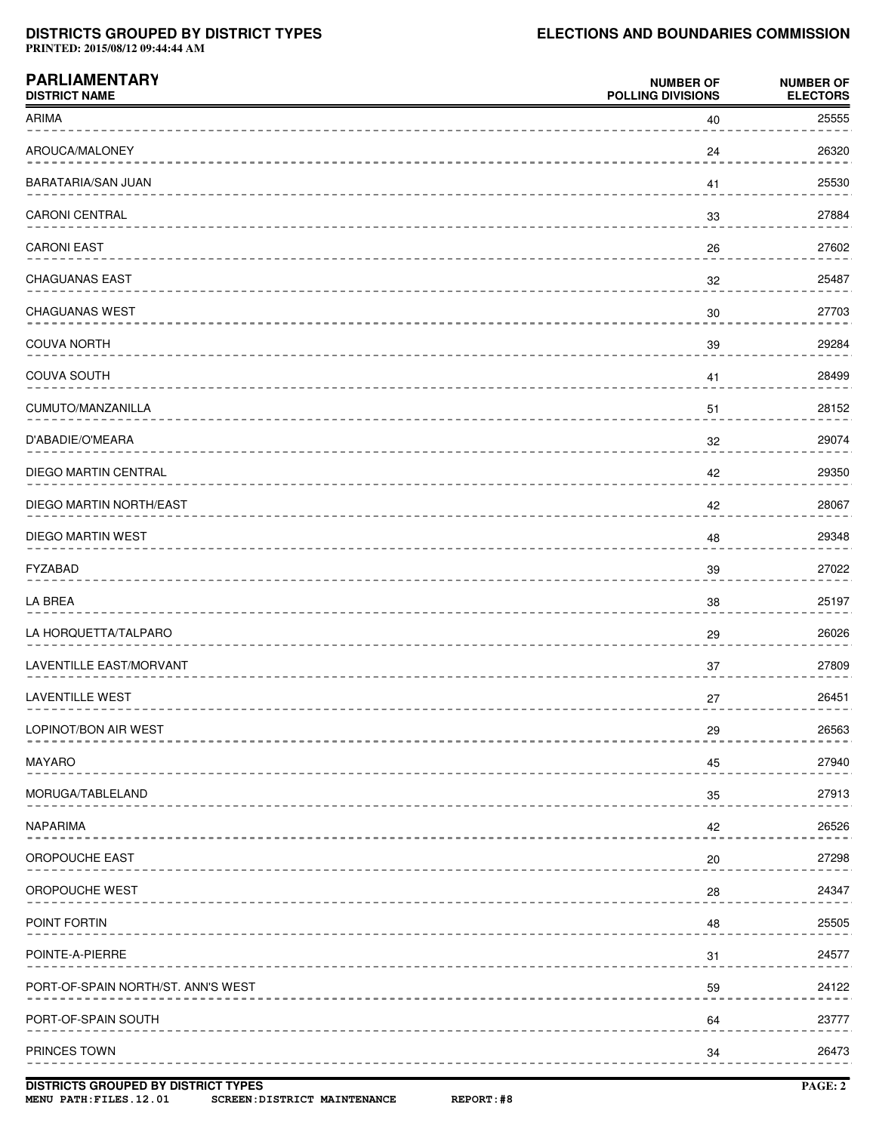## **DISTRICTS GROUPED BY DISTRICT TYPES ELECTIONS AND BOUNDARIES COMMISSION**

**PRINTED: 2015/08/12 09:44:44 AM**

| <b>PARLIAMENTARY</b><br><b>DISTRICT NAME</b> | <b>NUMBER OF</b><br><b>POLLING DIVISIONS</b> | <b>NUMBER OF</b><br><b>ELECTORS</b> |
|----------------------------------------------|----------------------------------------------|-------------------------------------|
| ARIMA                                        | 40                                           | 25555                               |
| AROUCA/MALONEY                               | 24                                           | 26320                               |
| BARATARIA/SAN JUAN                           | 41                                           | 25530                               |
| CARONI CENTRAL                               | 33                                           | 27884                               |
| <b>CARONI EAST</b>                           | 26                                           | 27602                               |
| <b>CHAGUANAS EAST</b>                        | 32                                           | 25487                               |
| CHAGUANAS WEST                               | 30                                           | 27703                               |
| <b>COUVA NORTH</b>                           | 39                                           | 29284                               |
| COUVA SOUTH                                  | 41                                           | 28499                               |
| CUMUTO/MANZANILLA                            | 51                                           | 28152                               |
| D'ABADIE/O'MEARA                             | 32                                           | 29074                               |
| DIEGO MARTIN CENTRAL                         | 42                                           | 29350                               |
| DIEGO MARTIN NORTH/EAST                      | 42                                           | 28067                               |
| DIEGO MARTIN WEST                            | 48                                           | 29348                               |
| FYZABAD                                      | 39                                           | 27022                               |
| LA BREA                                      | 38                                           | 25197                               |
| LA HORQUETTA/TALPARO                         | 29                                           | 26026                               |
| LAVENTILLE EAST/MORVANT                      | 37                                           | 27809                               |
| LAVENTILLE WEST                              | 27                                           | 26451                               |
| LOPINOT/BON AIR WEST                         | 29                                           | 26563                               |
| <b>MAYARO</b>                                | 45                                           | 27940                               |
| MORUGA/TABLELAND                             | 35                                           | 27913                               |
| <b>NAPARIMA</b>                              | 42                                           | 26526                               |
| OROPOUCHE EAST                               | 20                                           | 27298                               |
| OROPOUCHE WEST                               | 28                                           | 24347                               |
| POINT FORTIN                                 | 48                                           | 25505                               |
| POINTE-A-PIERRE                              | 31                                           | 24577                               |
| PORT-OF-SPAIN NORTH/ST. ANN'S WEST           | 59                                           | 24122                               |
| PORT-OF-SPAIN SOUTH                          | 64                                           | 23777                               |
| PRINCES TOWN                                 | 34                                           | 26473                               |
|                                              |                                              |                                     |